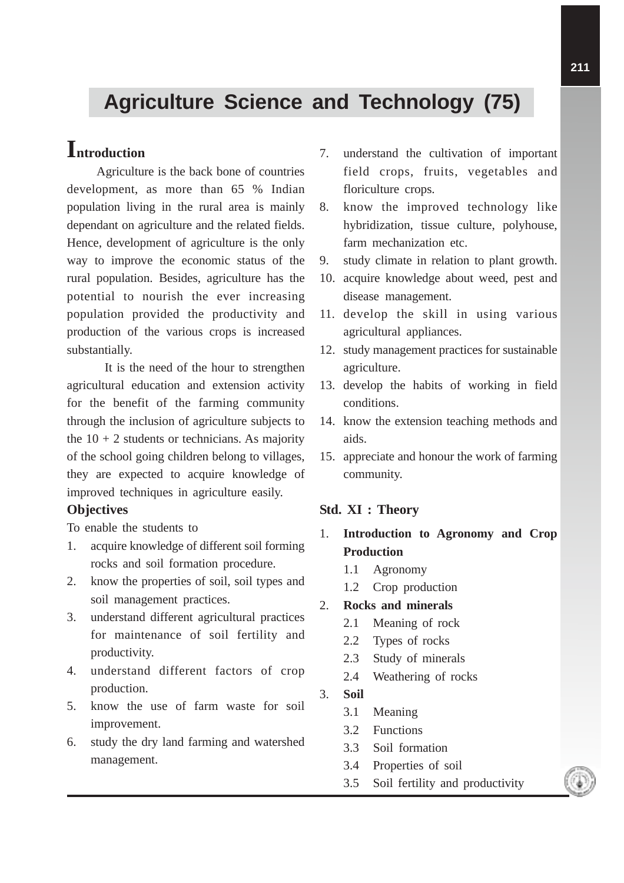# **Agriculture Science and Technology (75)**

## **Introduction**

Agriculture is the back bone of countries development, as more than 65 % Indian population living in the rural area is mainly dependant on agriculture and the related fields. Hence, development of agriculture is the only way to improve the economic status of the rural population. Besides, agriculture has the potential to nourish the ever increasing population provided the productivity and production of the various crops is increased substantially.

It is the need of the hour to strengthen agricultural education and extension activity for the benefit of the farming community through the inclusion of agriculture subjects to the  $10 + 2$  students or technicians. As majority of the school going children belong to villages, they are expected to acquire knowledge of improved techniques in agriculture easily.

## **Objectives**

To enable the students to

- 1. acquire knowledge of different soil forming rocks and soil formation procedure.
- 2. know the properties of soil, soil types and soil management practices.
- 3. understand different agricultural practices for maintenance of soil fertility and productivity.
- 4. understand different factors of crop production.
- 5. know the use of farm waste for soil improvement.
- 6. study the dry land farming and watershed management.
- 7. understand the cultivation of important field crops, fruits, vegetables and floriculture crops.
- 8. know the improved technology like hybridization, tissue culture, polyhouse, farm mechanization etc.
- 9. study climate in relation to plant growth.
- 10. acquire knowledge about weed, pest and disease management.
- 11. develop the skill in using various agricultural appliances.
- 12. study management practices for sustainable agriculture.
- 13. develop the habits of working in field conditions.
- 14. know the extension teaching methods and aids.
- 15. appreciate and honour the work of farming community.

### **Std. XI : Theory**

- 1. **Introduction to Agronomy and Crop Production**
	- 1.1 Agronomy
	- 1.2 Crop production
- 2. **Rocks and minerals**
	- 2.1 Meaning of rock
	- 2.2 Types of rocks
	- 2.3 Study of minerals
	- 2.4 Weathering of rocks
- 3. **Soil**
	- 3.1 Meaning
	- 3.2 Functions
	- 3.3 Soil formation
	- 3.4 Properties of soil
	- 3.5 Soil fertility and productivity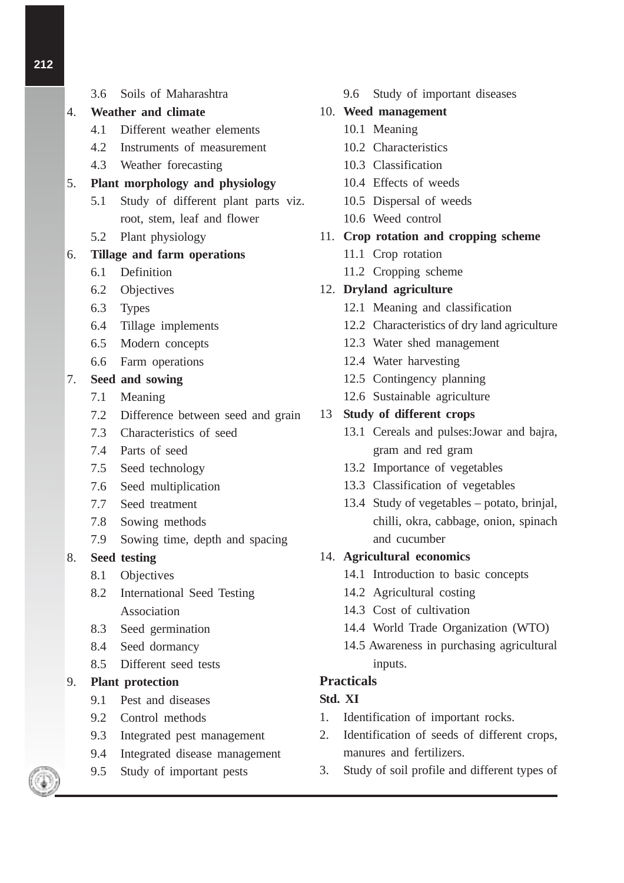- 3.6 Soils of Maharashtra
- 4. **Weather and climate**
	- 4.1 Different weather elements
	- 4.2 Instruments of measurement
	- 4.3 Weather forecasting

## 5. **Plant morphology and physiology**

- 5.1 Study of different plant parts viz. root, stem, leaf and flower
- 5.2 Plant physiology

## 6. **Tillage and farm operations**

- 6.1 Definition
- 6.2 Objectives
- 6.3 Types
- 6.4 Tillage implements
- 6.5 Modern concepts
- 6.6 Farm operations

## 7. **Seed and sowing**

- 7.1 Meaning
- 7.2 Difference between seed and grain
- 7.3 Characteristics of seed
- 7.4 Parts of seed
- 7.5 Seed technology
- 7.6 Seed multiplication
- 7.7 Seed treatment
- 7.8 Sowing methods
- 7.9 Sowing time, depth and spacing

## 8. **Seed testing**

- 8.1 Objectives
- 8.2 International Seed Testing Association
- 8.3 Seed germination
- 8.4 Seed dormancy
- 8.5 Different seed tests

## 9. **Plant protection**

- 9.1 Pest and diseases
- 9.2 Control methods
- 9.3 Integrated pest management
- 9.4 Integrated disease management
- 9.5 Study of important pests

9.6 Study of important diseases

## 10. **Weed management**

- 10.1 Meaning
- 10.2 Characteristics
- 10.3 Classification
- 10.4 Effects of weeds
- 10.5 Dispersal of weeds
- 10.6 Weed control
- 11. **Crop rotation and cropping scheme**
	- 11.1 Crop rotation
	- 11.2 Cropping scheme

## 12. **Dryland agriculture**

- 12.1 Meaning and classification
- 12.2 Characteristics of dry land agriculture
- 12.3 Water shed management
- 12.4 Water harvesting
- 12.5 Contingency planning
- 12.6 Sustainable agriculture

## 13 **Study of different crops**

- 13.1 Cereals and pulses:Jowar and bajra, gram and red gram
- 13.2 Importance of vegetables
- 13.3 Classification of vegetables
- 13.4 Study of vegetables potato, brinjal, chilli, okra, cabbage, onion, spinach and cucumber

## 14. **Agricultural economics**

- 14.1 Introduction to basic concepts
- 14.2 Agricultural costing
- 14.3 Cost of cultivation
- 14.4 World Trade Organization (WTO)
- 14.5 Awareness in purchasing agricultural inputs.

## **Practicals**

## **Std. XI**

- 1. Identification of important rocks.
- 2. Identification of seeds of different crops, manures and fertilizers.
- 3. Study of soil profile and different types of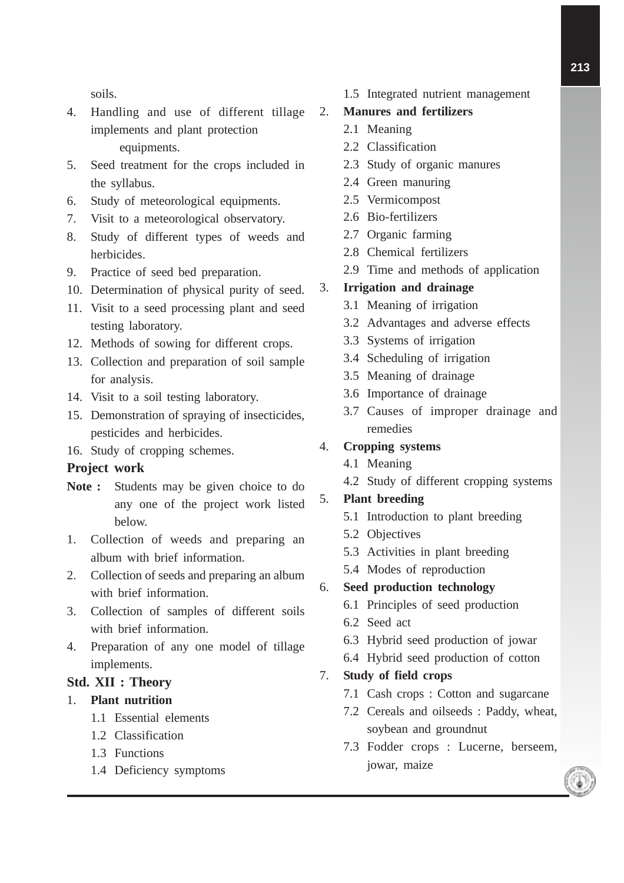soils.

- 4. Handling and use of different tillage implements and plant protection equipments.
- 5. Seed treatment for the crops included in the syllabus.
- 6. Study of meteorological equipments.
- 7. Visit to a meteorological observatory.
- 8. Study of different types of weeds and herbicides.
- 9. Practice of seed bed preparation.
- 10. Determination of physical purity of seed.
- 11. Visit to a seed processing plant and seed testing laboratory.
- 12. Methods of sowing for different crops.
- 13. Collection and preparation of soil sample for analysis.
- 14. Visit to a soil testing laboratory.
- 15. Demonstration of spraying of insecticides, pesticides and herbicides.
- 16. Study of cropping schemes.

#### **Project work**

- **Note :** Students may be given choice to do any one of the project work listed below.
- 1. Collection of weeds and preparing an album with brief information.
- 2. Collection of seeds and preparing an album with brief information.
- 3. Collection of samples of different soils with brief information.
- 4. Preparation of any one model of tillage implements.

### **Std. XII : Theory**

#### 1. **Plant nutrition**

- 1.1 Essential elements
- 1.2 Classification
- 1.3 Functions
- 1.4 Deficiency symptoms

1.5 Integrated nutrient management

### 2. **Manures and fertilizers**

- 2.1 Meaning
- 2.2 Classification
- 2.3 Study of organic manures
- 2.4 Green manuring
- 2.5 Vermicompost
- 2.6 Bio-fertilizers
- 2.7 Organic farming
- 2.8 Chemical fertilizers
- 2.9 Time and methods of application

#### 3. **Irrigation and drainage**

- 3.1 Meaning of irrigation
- 3.2 Advantages and adverse effects
- 3.3 Systems of irrigation
- 3.4 Scheduling of irrigation
- 3.5 Meaning of drainage
- 3.6 Importance of drainage
- 3.7 Causes of improper drainage and remedies

#### 4. **Cropping systems**

- 4.1 Meaning
- 4.2 Study of different cropping systems

## 5. **Plant breeding**

- 5.1 Introduction to plant breeding
- 5.2 Objectives
- 5.3 Activities in plant breeding
- 5.4 Modes of reproduction

#### 6. **Seed production technology**

- 6.1 Principles of seed production
- 6.2 Seed act
- 6.3 Hybrid seed production of jowar
- 6.4 Hybrid seed production of cotton

#### 7. **Study of field crops**

- 7.1 Cash crops : Cotton and sugarcane
- 7.2 Cereals and oilseeds : Paddy, wheat, soybean and groundnut
- 7.3 Fodder crops : Lucerne, berseem, jowar, maize